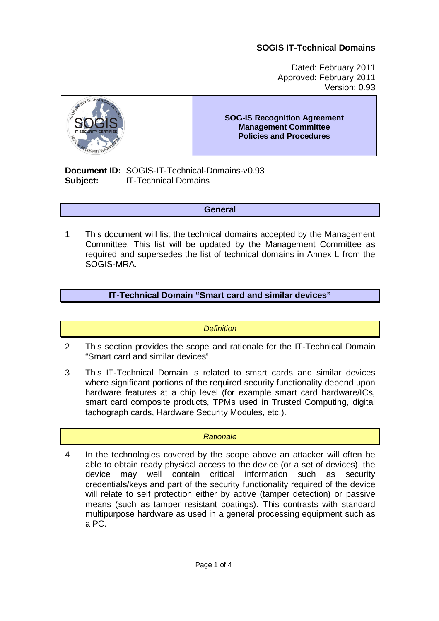Dated: February 2011 Approved: February 2011 Version: 0.93



**SOG-IS Recognition Agreement Management Committee Policies and Procedures** 

**Document ID:** SOGIS-IT-Technical-Domains-v0.93 **Subject:** IT-Technical Domains

#### **General**

1 This document will list the technical domains accepted by the Management Committee. This list will be updated by the Management Committee as required and supersedes the list of technical domains in Annex L from the SOGIS-MRA.

## **IT-Technical Domain "Smart card and similar devices"**

#### *Definition*

- 2 This section provides the scope and rationale for the IT-Technical Domain "Smart card and similar devices".
- 3 This IT-Technical Domain is related to smart cards and similar devices where significant portions of the required security functionality depend upon hardware features at a chip level (for example smart card hardware/ICs, smart card composite products, TPMs used in Trusted Computing, digital tachograph cards, Hardware Security Modules, etc.).

#### *Rationale*

4 In the technologies covered by the scope above an attacker will often be able to obtain ready physical access to the device (or a set of devices), the device may well contain critical information such as security credentials/keys and part of the security functionality required of the device will relate to self protection either by active (tamper detection) or passive means (such as tamper resistant coatings). This contrasts with standard multipurpose hardware as used in a general processing equipment such as a PC.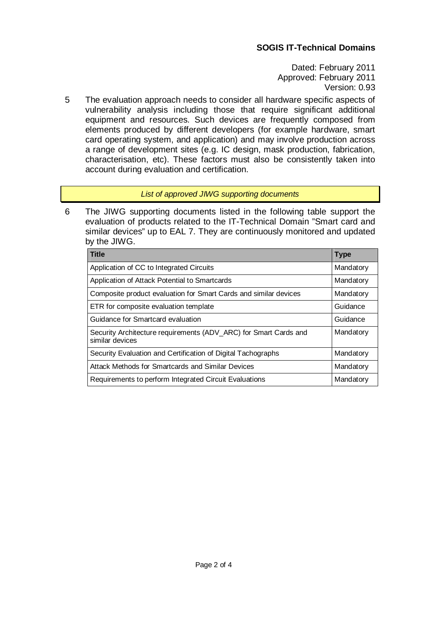Dated: February 2011 Approved: February 2011 Version: 0.93

5 The evaluation approach needs to consider all hardware specific aspects of vulnerability analysis including those that require significant additional equipment and resources. Such devices are frequently composed from elements produced by different developers (for example hardware, smart card operating system, and application) and may involve production across a range of development sites (e.g. IC design, mask production, fabrication, characterisation, etc). These factors must also be consistently taken into account during evaluation and certification.

### *List of approved JIWG supporting documents*

6 The JIWG supporting documents listed in the following table support the evaluation of products related to the IT-Technical Domain "Smart card and similar devices" up to EAL 7. They are continuously monitored and updated by the JIWG.

| <b>Title</b>                                                                        | <b>Type</b> |
|-------------------------------------------------------------------------------------|-------------|
| Application of CC to Integrated Circuits                                            | Mandatory   |
| Application of Attack Potential to Smartcards                                       | Mandatory   |
| Composite product evaluation for Smart Cards and similar devices                    | Mandatory   |
| ETR for composite evaluation template                                               | Guidance    |
| Guidance for Smartcard evaluation                                                   | Guidance    |
| Security Architecture requirements (ADV_ARC) for Smart Cards and<br>similar devices | Mandatory   |
| Security Evaluation and Certification of Digital Tachographs                        | Mandatory   |
| Attack Methods for Smartcards and Similar Devices                                   | Mandatory   |
| Requirements to perform Integrated Circuit Evaluations                              | Mandatory   |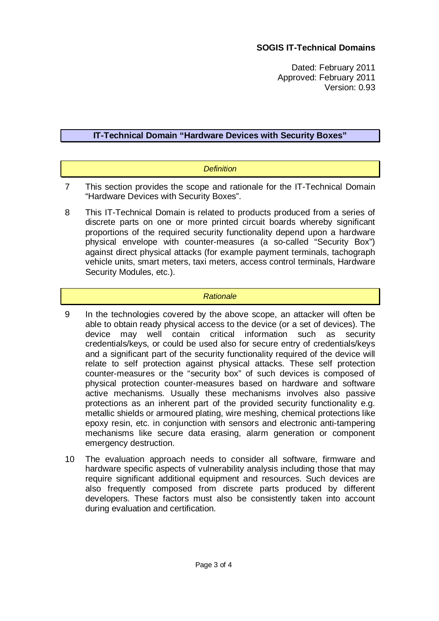Dated: February 2011 Approved: February 2011 Version: 0.93

### **IT-Technical Domain "Hardware Devices with Security Boxes"**

### *Definition*

- 7 This section provides the scope and rationale for the IT-Technical Domain "Hardware Devices with Security Boxes".
- 8 This IT-Technical Domain is related to products produced from a series of discrete parts on one or more printed circuit boards whereby significant proportions of the required security functionality depend upon a hardware physical envelope with counter-measures (a so-called "Security Box") against direct physical attacks (for example payment terminals, tachograph vehicle units, smart meters, taxi meters, access control terminals, Hardware Security Modules, etc.).

#### *Rationale*

- 9 In the technologies covered by the above scope, an attacker will often be able to obtain ready physical access to the device (or a set of devices). The device may well contain critical information such as security credentials/keys, or could be used also for secure entry of credentials/keys and a significant part of the security functionality required of the device will relate to self protection against physical attacks. These self protection counter-measures or the "security box" of such devices is composed of physical protection counter-measures based on hardware and software active mechanisms. Usually these mechanisms involves also passive protections as an inherent part of the provided security functionality e.g. metallic shields or armoured plating, wire meshing, chemical protections like epoxy resin, etc. in conjunction with sensors and electronic anti-tampering mechanisms like secure data erasing, alarm generation or component emergency destruction.
- 10 The evaluation approach needs to consider all software, firmware and hardware specific aspects of vulnerability analysis including those that may require significant additional equipment and resources. Such devices are also frequently composed from discrete parts produced by different developers. These factors must also be consistently taken into account during evaluation and certification.